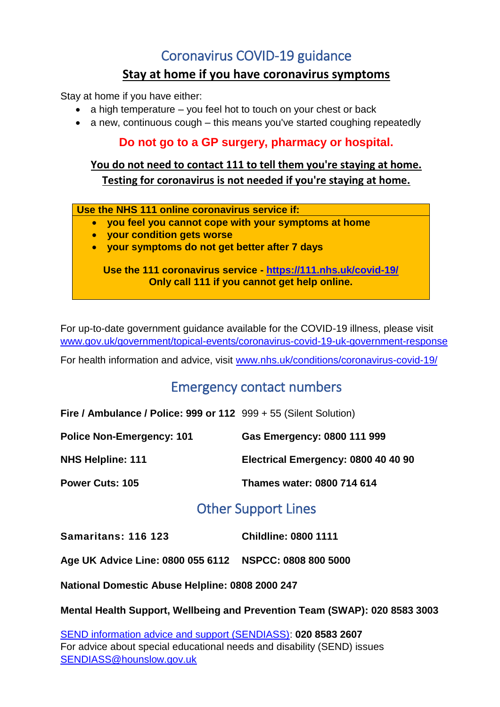## Coronavirus COVID-19 guidance

### **Stay at home if you have coronavirus symptoms**

Stay at home if you have either:

- $\bullet$  a high temperature you feel hot to touch on your chest or back
- a new, continuous cough this means you've started coughing repeatedly

### **Do not go to a GP surgery, pharmacy or hospital.**

### **You do not need to contact 111 to tell them you're staying at home. Testing for coronavirus is not needed if you're staying at home.**

**Use the NHS 111 online coronavirus service if:**

- **you feel you cannot cope with your symptoms at home**
- **your condition gets worse**
- **your symptoms do not get better after 7 days**

**Use the 111 coronavirus service - <https://111.nhs.uk/covid-19/> Only call 111 if you cannot get help online.**

For up-to-date government guidance available for the COVID-19 illness, please visit [www.gov.uk/government/topical-events/coronavirus-covid-19-uk-government-response](http://www.gov.uk/government/topical-events/coronavirus-covid-19-uk-government-response)

For health information and advice, visit [www.nhs.uk/conditions/coronavirus-covid-19/](http://www.nhs.uk/conditions/coronavirus-covid-19/)

## Emergency contact numbers

**Fire / Ambulance / Police: 999 or 112** 999 + 55 (Silent Solution)

| <b>Police Non-Emergency: 101</b> | Gas Emergency: 0800 111 999         |
|----------------------------------|-------------------------------------|
| <b>NHS Helpline: 111</b>         | Electrical Emergency: 0800 40 40 90 |
| <b>Power Cuts: 105</b>           | Thames water: 0800 714 614          |

## Other Support Lines

**Samaritans: 116 123 Childline: 0800 1111**

**Age UK Advice Line: 0800 055 6112 NSPCC: 0808 800 5000**

**National Domestic Abuse Helpline: 0808 2000 247**

**Mental Health Support, Wellbeing and Prevention Team (SWAP): 020 8583 3003**

[SEND information advice and support \(SENDIASS\):](https://fsd.hounslow.gov.uk/kb5/hounslow/fsd/advice.page?id=MS95wI7aoLU&localofferchannel=2341_8&&c=00aeef) **020 8583 2607** For advice about special educational needs and disability (SEND) issues [SENDIASS@hounslow.gov.uk](mailto:SENDIASS@hounslow.gov.uk)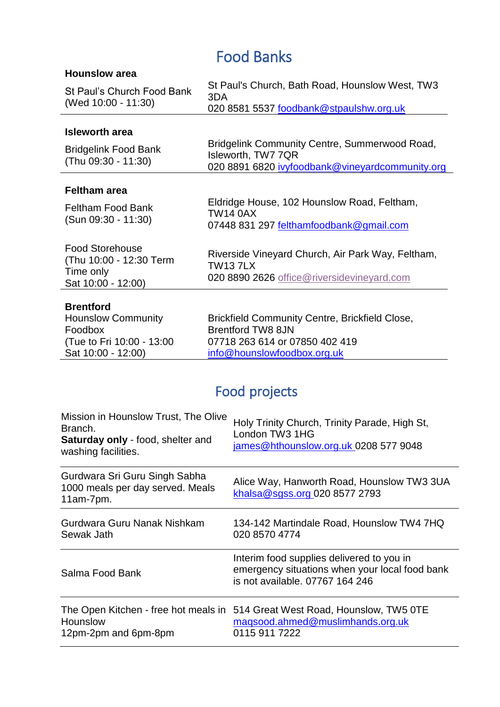# Food Banks

| <b>Hounslow area</b>                                                                                         |                                                                                                                                                    |
|--------------------------------------------------------------------------------------------------------------|----------------------------------------------------------------------------------------------------------------------------------------------------|
| St Paul's Church Food Bank<br>(Wed 10:00 - 11:30)                                                            | St Paul's Church, Bath Road, Hounslow West, TW3<br>3DA<br>020 8581 5537 foodbank@stpaulshw.org.uk                                                  |
|                                                                                                              |                                                                                                                                                    |
| <b>Isleworth area</b>                                                                                        |                                                                                                                                                    |
| <b>Bridgelink Food Bank</b><br>(Thu 09:30 - 11:30)                                                           | Bridgelink Community Centre, Summerwood Road,<br>Isleworth, TW7 7QR<br>020 8891 6820 ivyfoodbank@vineyardcommunity.org                             |
|                                                                                                              |                                                                                                                                                    |
| <b>Feltham area</b>                                                                                          |                                                                                                                                                    |
| <b>Feltham Food Bank</b><br>(Sun 09:30 - 11:30)                                                              | Eldridge House, 102 Hounslow Road, Feltham,<br><b>TW14 0AX</b><br>07448 831 297 felthamfoodbank@gmail.com                                          |
|                                                                                                              |                                                                                                                                                    |
| <b>Food Storehouse</b><br>(Thu 10:00 - 12:30 Term<br>Time only<br>Sat 10:00 - 12:00)                         | Riverside Vineyard Church, Air Park Way, Feltham,<br><b>TW137LX</b><br>020 8890 2626 office@riversidevineyard.com                                  |
|                                                                                                              |                                                                                                                                                    |
| <b>Brentford</b><br><b>Hounslow Community</b><br>Foodbox<br>(Tue to Fri 10:00 - 13:00)<br>Sat 10:00 - 12:00) | <b>Brickfield Community Centre, Brickfield Close,</b><br><b>Brentford TW8 8JN</b><br>07718 263 614 or 07850 402 419<br>info@hounslowfoodbox.org.uk |
|                                                                                                              |                                                                                                                                                    |

# Food projects

| Mission in Hounslow Trust, The Olive<br>Branch.<br><b>Saturday only - food, shelter and</b><br>washing facilities. | Holy Trinity Church, Trinity Parade, High St,<br>London TW3 1HG<br>james@hthounslow.org.uk 0208 577 9048                       |
|--------------------------------------------------------------------------------------------------------------------|--------------------------------------------------------------------------------------------------------------------------------|
| Gurdwara Sri Guru Singh Sabha<br>1000 meals per day served. Meals<br>11am-7pm.                                     | Alice Way, Hanworth Road, Hounslow TW3 3UA<br>khalsa@sgss.org 020 8577 2793                                                    |
| Gurdwara Guru Nanak Nishkam<br>Sewak Jath                                                                          | 134-142 Martindale Road, Hounslow TW4 7HQ<br>020 8570 4774                                                                     |
| Salma Food Bank                                                                                                    | Interim food supplies delivered to you in<br>emergency situations when your local food bank<br>is not available, 07767 164 246 |
| The Open Kitchen - free hot meals in<br>Hounslow<br>12pm-2pm and 6pm-8pm                                           | 514 Great West Road, Hounslow, TW5 OTE<br>magsood.ahmed@muslimhands.org.uk<br>0115 911 7222                                    |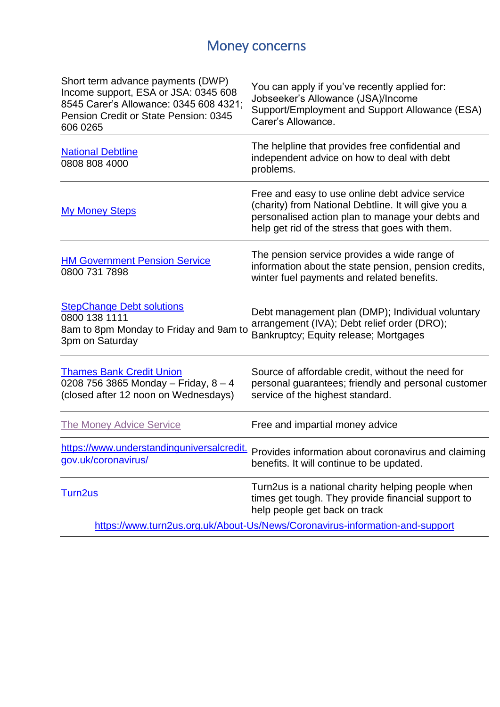# Money concerns

| Short term advance payments (DWP)<br>Income support, ESA or JSA: 0345 608<br>8545 Carer's Allowance: 0345 608 4321;<br>Pension Credit or State Pension: 0345<br>606 0265 | You can apply if you've recently applied for:<br>Jobseeker's Allowance (JSA)/Income<br>Support/Employment and Support Allowance (ESA)<br>Carer's Allowance.                                                     |
|--------------------------------------------------------------------------------------------------------------------------------------------------------------------------|-----------------------------------------------------------------------------------------------------------------------------------------------------------------------------------------------------------------|
| <b>National Debtline</b><br>0808 808 4000                                                                                                                                | The helpline that provides free confidential and<br>independent advice on how to deal with debt<br>problems.                                                                                                    |
| <b>My Money Steps</b>                                                                                                                                                    | Free and easy to use online debt advice service<br>(charity) from National Debtline. It will give you a<br>personalised action plan to manage your debts and<br>help get rid of the stress that goes with them. |
| <b>HM Government Pension Service</b><br>0800 731 7898                                                                                                                    | The pension service provides a wide range of<br>information about the state pension, pension credits,<br>winter fuel payments and related benefits.                                                             |
| <b>StepChange Debt solutions</b><br>0800 138 1111<br>8am to 8pm Monday to Friday and 9am to<br>3pm on Saturday                                                           | Debt management plan (DMP); Individual voluntary<br>arrangement (IVA); Debt relief order (DRO);<br>Bankruptcy; Equity release; Mortgages                                                                        |
| <b>Thames Bank Credit Union</b><br>0208 756 3865 Monday - Friday, $8 - 4$<br>(closed after 12 noon on Wednesdays)                                                        | Source of affordable credit, without the need for<br>personal guarantees; friendly and personal customer<br>service of the highest standard.                                                                    |
| <b>The Money Advice Service</b>                                                                                                                                          | Free and impartial money advice                                                                                                                                                                                 |
| gov.uk/coronavirus/                                                                                                                                                      | https://www.understandinguniversalcredit. Provides information about coronavirus and claiming<br>benefits. It will continue to be updated.                                                                      |
| Turn2us                                                                                                                                                                  | Turn2us is a national charity helping people when<br>times get tough. They provide financial support to<br>help people get back on track                                                                        |
|                                                                                                                                                                          | https://www.turn2us.org.uk/About-Us/News/Coronavirus-information-and-support                                                                                                                                    |